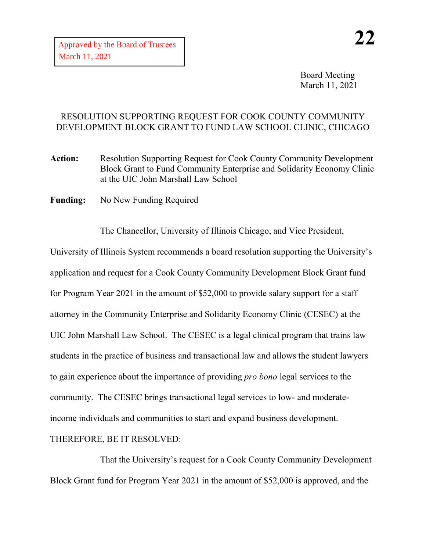Board Meeting March 11, 2021

## RESOLUTION SUPPORTING REQUEST FOR COOK COUNTY COMMUNITY DEVELOPMENT BLOCK GRANT TO FUND LAW SCHOOL CLINIC, CHICAGO

- **Action:** Resolution Supporting Request for Cook County Community Development Block Grant to Fund Community Enterprise and Solidarity Economy Clinic at the UIC John Marshall Law School
- **Funding:** No New Funding Required

The Chancellor, University of Illinois Chicago, and Vice President, University of Illinois System recommends a board resolution supporting the University's application and request for a Cook County Community Development Block Grant fund for Program Year 2021 in the amount of \$52,000 to provide salary support for a staff attorney in the Community Enterprise and Solidarity Economy Clinic (CESEC) at the UIC John Marshall Law School. The CESEC is a legal clinical program that trains law students in the practice of business and transactional law and allows the student lawyers to gain experience about the importance of providing *pro bono* legal services to the community. The CESEC brings transactional legal services to low- and moderateincome individuals and communities to start and expand business development. THEREFORE, BE IT RESOLVED:

That the University's request for a Cook County Community Development Block Grant fund for Program Year 2021 in the amount of \$52,000 is approved, and the